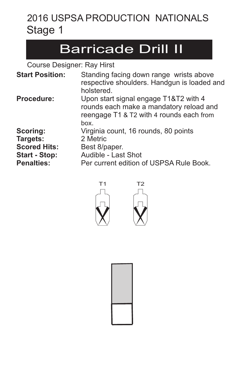### Barricade Drill II

| <b>Start Position:</b> | Standing facing down range wrists above<br>respective shoulders. Handgun is loaded and<br>holstered.                                 |
|------------------------|--------------------------------------------------------------------------------------------------------------------------------------|
| <b>Procedure:</b>      | Upon start signal engage T1&T2 with 4<br>rounds each make a mandatory reload and<br>reengage T1 & T2 with 4 rounds each from<br>hox. |
| Scoring:               | Virginia count, 16 rounds, 80 points                                                                                                 |
| Targets:               | 2 Metric                                                                                                                             |
| <b>Scored Hits:</b>    | Best 8/paper.                                                                                                                        |
| <b>Start - Stop:</b>   | Audible - Last Shot                                                                                                                  |
| <b>Penalties:</b>      | Per current edition of USPSA Rule Book.                                                                                              |





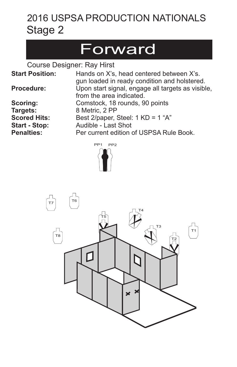## Forward

| <b>Start Position:</b>                                                                   | Hands on X's, head centered between X's.<br>gun loaded in ready condition and holstered.                                                                   |
|------------------------------------------------------------------------------------------|------------------------------------------------------------------------------------------------------------------------------------------------------------|
| <b>Procedure:</b>                                                                        | Upon start signal, engage all targets as visible,<br>from the area indicated.                                                                              |
| Scoring:<br>Targets:<br><b>Scored Hits:</b><br><b>Start - Stop:</b><br><b>Penalties:</b> | Comstock, 18 rounds, 90 points<br>8 Metric, 2 PP<br>Best 2/paper, Steel: $1 K D = 1$ "A"<br>Audible - Last Shot<br>Per current edition of USPSA Rule Book. |
|                                                                                          |                                                                                                                                                            |



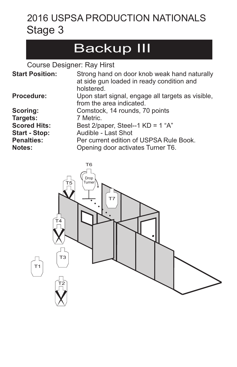## Backup III

| <b>Start Position:</b>      | Strong hand on door knob weak hand naturally<br>at side gun loaded in ready condition and<br>holstered. |
|-----------------------------|---------------------------------------------------------------------------------------------------------|
| <b>Procedure:</b>           | Upon start signal, engage all targets as visible,<br>from the area indicated.                           |
| Scoring:                    | Comstock, 14 rounds, 70 points                                                                          |
| Targets:                    | 7 Metric.                                                                                               |
| <b>Scored Hits:</b>         | Best 2/paper, Steel--1 $KD = 1$ "A"                                                                     |
| <b>Start - Stop:</b>        | Audible - Last Shot                                                                                     |
| <b>Penalties:</b><br>Notes: | Per current edition of USPSA Rule Book.<br>Opening door activates Turner T6.                            |

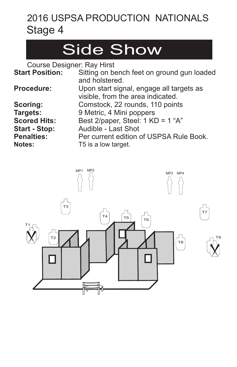## Side Show

| <b>Start Position:</b> | Sitting on bench feet on ground gun loaded |
|------------------------|--------------------------------------------|
|                        | and holstered.                             |
| <b>Procedure:</b>      | Upon start signal, engage all targets as   |
|                        | visible, from the area indicated.          |
| Scoring:               | Comstock, 22 rounds, 110 points            |
| Targets:               | 9 Metric, 4 Mini poppers                   |
| <b>Scored Hits:</b>    | Best 2/paper, Steel: 1 KD = 1 "A"          |
| <b>Start - Stop:</b>   | Audible - Last Shot                        |
| <b>Penalties:</b>      | Per current edition of USPSA Rule Book.    |
| <b>Notes:</b>          | T5 is a low target.                        |

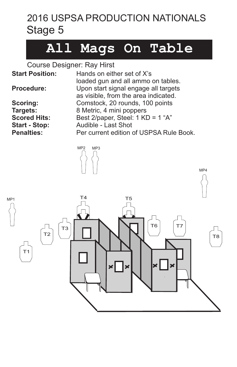## **All Mags On Table**

| <b>Start Position:</b> | Hands on either set of X's                                                                                         |
|------------------------|--------------------------------------------------------------------------------------------------------------------|
| <b>Procedure:</b>      | loaded gun and all ammo on tables.<br>Upon start signal engage all targets<br>as visible, from the area indicated. |
| <b>Scoring:</b>        | Comstock, 20 rounds, 100 points                                                                                    |
| Targets:               | 8 Metric, 4 mini poppers                                                                                           |
| <b>Scored Hits:</b>    | Best 2/paper, Steel: 1 KD = 1 "A"                                                                                  |
| <b>Start - Stop:</b>   | Audible - Last Shot                                                                                                |
| <b>Penalties:</b>      | Per current edition of USPSA Rule Book.                                                                            |

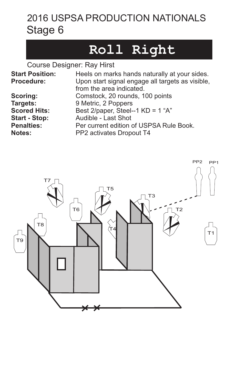## **Roll Right**

| <b>Start Position:</b><br>Procedure: | Heels on marks hands naturally at your sides.<br>Upon start signal engage all targets as visible,<br>from the area indicated. |
|--------------------------------------|-------------------------------------------------------------------------------------------------------------------------------|
| Scoring:                             | Comstock, 20 rounds, 100 points                                                                                               |
| Targets:                             | 9 Metric, 2 Poppers                                                                                                           |
| <b>Scored Hits:</b>                  | Best 2/paper, Steel--1 $KD = 1$ "A"                                                                                           |
| <b>Start - Stop:</b>                 | Audible - Last Shot                                                                                                           |
| <b>Penalties:</b>                    | Per current edition of USPSA Rule Book.                                                                                       |
| <b>Notes:</b>                        | PP2 activates Dropout T4                                                                                                      |

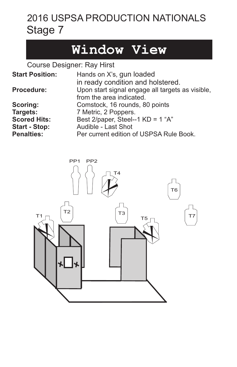## **Window View**

| <b>Start Position:</b> | Hands on X's, gun loaded                         |
|------------------------|--------------------------------------------------|
|                        | in ready condition and holstered.                |
| <b>Procedure:</b>      | Upon start signal engage all targets as visible, |
|                        | from the area indicated.                         |
| Scoring:               | Comstock, 16 rounds, 80 points                   |
| Targets:               | 7 Metric, 2 Poppers.                             |
| <b>Scored Hits:</b>    | Best 2/paper, Steel--1 KD = 1 "A"                |
| <b>Start - Stop:</b>   | Audible - Last Shot                              |
| <b>Penalties:</b>      | Per current edition of USPSA Rule Book.          |

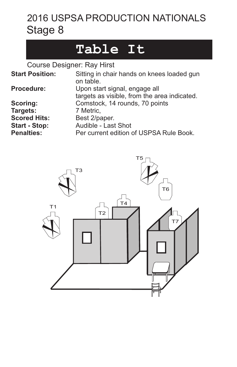### **Table It**

| <b>Start Position:</b>                                                                   | Sitting in chair hands on knees loaded gun<br>on table.                                                                        |
|------------------------------------------------------------------------------------------|--------------------------------------------------------------------------------------------------------------------------------|
| <b>Procedure:</b>                                                                        | Upon start signal, engage all<br>targets as visible, from the area indicated.                                                  |
| Scoring:<br>Targets:<br><b>Scored Hits:</b><br><b>Start - Stop:</b><br><b>Penalties:</b> | Comstock, 14 rounds, 70 points<br>7 Metric,<br>Best 2/paper.<br>Audible - Last Shot<br>Per current edition of USPSA Rule Book. |

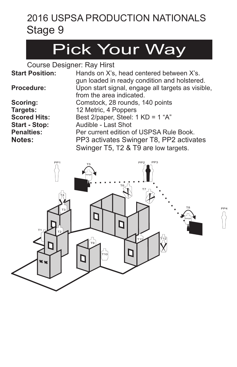## Pick Your Way

| <b>Start Position:</b> | Hands on X's, head centered between X's.<br>gun loaded in ready condition and holstered. |
|------------------------|------------------------------------------------------------------------------------------|
| <b>Procedure:</b>      | Upon start signal, engage all targets as visible,<br>from the area indicated.            |
| Scoring:               | Comstock, 28 rounds, 140 points                                                          |
| Targets:               | 12 Metric, 4 Poppers                                                                     |
| <b>Scored Hits:</b>    | Best 2/paper, Steel: 1 KD = 1 "A"                                                        |
| <b>Start - Stop:</b>   | Audible - Last Shot                                                                      |
| <b>Penalties:</b>      | Per current edition of USPSA Rule Book.                                                  |
| <b>Notes:</b>          | PP3 activates Swinger T8, PP2 activates                                                  |
|                        | Swinger T5, T2 & T9 are low targets.                                                     |

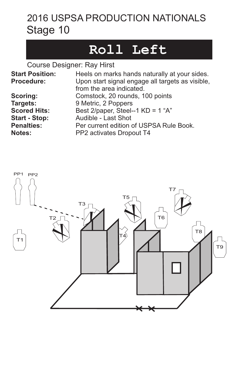### **Roll Left**

| <b>Start Position:</b><br><b>Procedure:</b> | Heels on marks hands naturally at your sides.<br>Upon start signal engage all targets as visible,<br>from the area indicated. |
|---------------------------------------------|-------------------------------------------------------------------------------------------------------------------------------|
| Scoring:                                    | Comstock, 20 rounds, 100 points                                                                                               |
| Targets:                                    | 9 Metric, 2 Poppers                                                                                                           |
| <b>Scored Hits:</b>                         | Best 2/paper, Steel--1 KD = 1 "A"                                                                                             |
| <b>Start - Stop:</b>                        | Audible - Last Shot                                                                                                           |
| <b>Penalties:</b>                           | Per current edition of USPSA Rule Book.                                                                                       |
| <b>Notes:</b>                               | PP2 activates Dropout T4                                                                                                      |

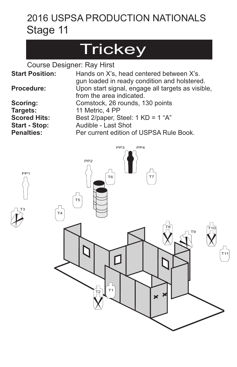## **Trickey**

Course Designer: Ray Hirst

| <b>Start Position:</b> | Hands on X's, head centered between X's.<br>gun loaded in ready condition and holstered. |
|------------------------|------------------------------------------------------------------------------------------|
| <b>Procedure:</b>      | Upon start signal, engage all targets as visible,<br>from the area indicated.            |
| Scoring:               | Comstock, 26 rounds, 130 points                                                          |
| Targets:               | 11 Metric, 4 PP                                                                          |
| <b>Scored Hits:</b>    | Best 2/paper, Steel: $1 K D = 1$ "A"                                                     |
| <b>Start - Stop:</b>   | Audible - Last Shot                                                                      |
| <b>Penalties:</b>      | Per current edition of USPSA Rule Book.                                                  |



PP1

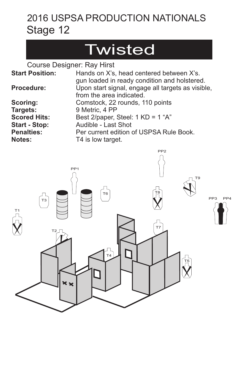## **Twisted**

| <b>Start Position:</b> | Hands on X's, head centered between X's.<br>gun loaded in ready condition and holstered. |
|------------------------|------------------------------------------------------------------------------------------|
| <b>Procedure:</b>      | Upon start signal, engage all targets as visible,<br>from the area indicated.            |
| Scoring:               | Comstock, 22 rounds, 110 points                                                          |
| Targets:               | 9 Metric, 4 PP                                                                           |
| <b>Scored Hits:</b>    | Best 2/paper, Steel: 1 KD = 1 "A"                                                        |
| <b>Start - Stop:</b>   | Audible - Last Shot                                                                      |
| <b>Penalties:</b>      | Per current edition of USPSA Rule Book.                                                  |
| Notes:                 | T4 is low target.                                                                        |

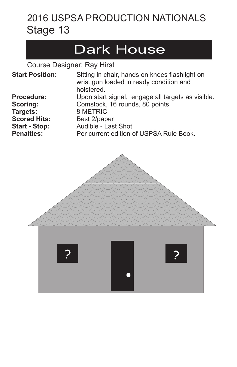## Dark House

| <b>Start Position:</b> | Sitting in chair, hands on knees flashlight on<br>wrist gun loaded in ready condition and<br>holstered. |
|------------------------|---------------------------------------------------------------------------------------------------------|
| <b>Procedure:</b>      | Upon start signal, engage all targets as visible.                                                       |
| Scoring:               | Comstock, 16 rounds, 80 points                                                                          |
| Targets:               | 8 METRIC                                                                                                |
| <b>Scored Hits:</b>    | Best 2/paper                                                                                            |
| <b>Start - Stop:</b>   | Audible - Last Shot                                                                                     |
| <b>Penalties:</b>      | Per current edition of USPSA Rule Book.                                                                 |

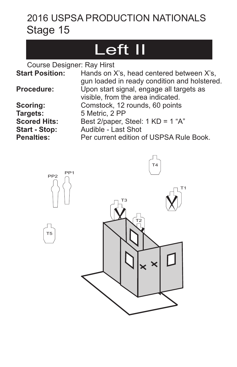## Left II

| <b>Start Position:</b> | Hands on X's, head centered between X's,<br>gun loaded in ready condition and holstered. |
|------------------------|------------------------------------------------------------------------------------------|
| <b>Procedure:</b>      | Upon start signal, engage all targets as<br>visible, from the area indicated.            |
| <b>Scoring:</b>        | Comstock, 12 rounds, 60 points                                                           |
| Targets:               | 5 Metric, 2 PP                                                                           |
| <b>Scored Hits:</b>    | Best 2/paper, Steel: $1 K D = 1$ "A"                                                     |
| <b>Start - Stop:</b>   | Audible - Last Shot                                                                      |
| <b>Penalties:</b>      | Per current edition of USPSA Rule Book.                                                  |

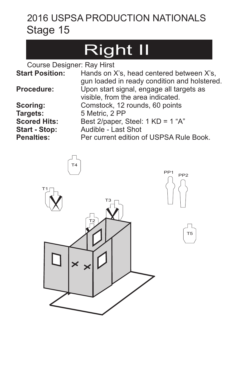# Right II

| <b>Start Position:</b> | Hands on X's, head centered between X's,                                                 |
|------------------------|------------------------------------------------------------------------------------------|
| <b>Procedure:</b>      | gun loaded in ready condition and holstered.<br>Upon start signal, engage all targets as |
|                        | visible, from the area indicated.                                                        |
| <b>Scoring:</b>        | Comstock, 12 rounds, 60 points                                                           |
| Targets:               | 5 Metric, 2 PP                                                                           |
| <b>Scored Hits:</b>    | Best 2/paper, Steel: $1 K D = 1$ "A"                                                     |
| <b>Start - Stop:</b>   | Audible - Last Shot                                                                      |
| <b>Penalties:</b>      | Per current edition of USPSA Rule Book.                                                  |

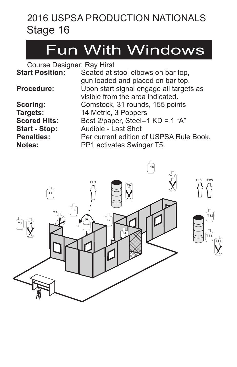## Fun With Windows

| <b>Start Position:</b> | Seated at stool elbows on bar top,      |
|------------------------|-----------------------------------------|
|                        | gun loaded and placed on bar top.       |
| <b>Procedure:</b>      | Upon start signal engage all targets as |
|                        | visible from the area indicated.        |
| Scoring:               | Comstock, 31 rounds, 155 points         |
| Targets:               | 14 Metric, 3 Poppers                    |
| <b>Scored Hits:</b>    | Best 2/paper, Steel--1 $KD = 1$ "A"     |
| <b>Start - Stop:</b>   | Audible - Last Shot                     |
| <b>Penalties:</b>      | Per current edition of USPSA Rule Book. |
| Notes:                 | PP1 activates Swinger T5.               |
|                        |                                         |

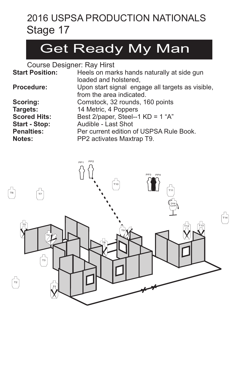## Get Ready My Man

| <b>Start Position:</b> | Heels on marks hands naturally at side gun       |
|------------------------|--------------------------------------------------|
|                        | loaded and holstered,                            |
| Procedure:             | Upon start signal engage all targets as visible, |
|                        | from the area indicated.                         |
| Scoring:               | Comstock, 32 rounds, 160 points                  |
| Targets:               | 14 Metric, 4 Poppers                             |
| <b>Scored Hits:</b>    | Best 2/paper, Steel--1 KD = 1 "A"                |
| <b>Start - Stop:</b>   | Audible - Last Shot                              |
| <b>Penalties:</b>      | Per current edition of USPSA Rule Book.          |
| <b>Notes:</b>          | PP2 activates Maxtrap T9.                        |

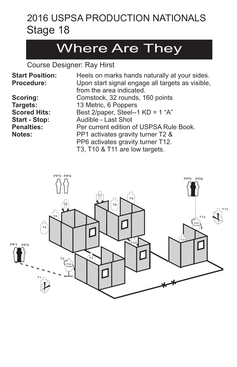### Where Are They

| <b>Start Position:</b> | Heels on marks hands naturally at your sides.    |
|------------------------|--------------------------------------------------|
| <b>Procedure:</b>      | Upon start signal engage all targets as visible, |
|                        | from the area indicated.                         |
| <b>Scoring:</b>        | Comstock, 32 rounds, 160 points                  |
| Targets:               | 13 Metric, 6 Poppers                             |
| <b>Scored Hits:</b>    | Best 2/paper, Steel--1 $KD = 1$ "A"              |
| <b>Start - Stop:</b>   | Audible - Last Shot                              |
| <b>Penalties:</b>      | Per current edition of USPSA Rule Book.          |
| <b>Notes:</b>          | PP1 activates gravity turner T2 &                |
|                        | PP6 activates gravity turner T12.                |
|                        | T3, T10 & T11 are low targets.                   |